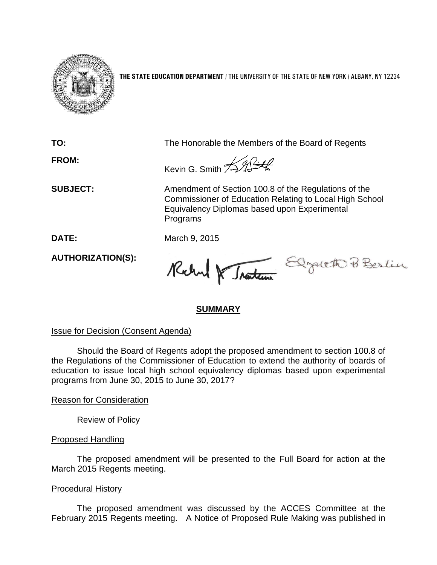

**THE STATE EDUCATION DEPARTMENT** / THE UNIVERSITY OF THE STATE OF NEW YORK / ALBANY, NY 12234

**FROM:**

**TO:** The Honorable the Members of the Board of Regents

Kevin G. Smith <del>/ 1/2 City</del>

**SUBJECT:** Amendment of Section 100.8 of the Regulations of the Commissioner of Education Relating to Local High School Equivalency Diplomas based upon Experimental Programs

**DATE:** March 9, 2015

**AUTHORIZATION(S):**

Robert & Traten Elgatett Berlin

# **SUMMARY**

Issue for Decision (Consent Agenda)

Should the Board of Regents adopt the proposed amendment to section 100.8 of the Regulations of the Commissioner of Education to extend the authority of boards of education to issue local high school equivalency diplomas based upon experimental programs from June 30, 2015 to June 30, 2017?

### Reason for Consideration

Review of Policy

# Proposed Handling

The proposed amendment will be presented to the Full Board for action at the March 2015 Regents meeting.

### Procedural History

The proposed amendment was discussed by the ACCES Committee at the February 2015 Regents meeting. A Notice of Proposed Rule Making was published in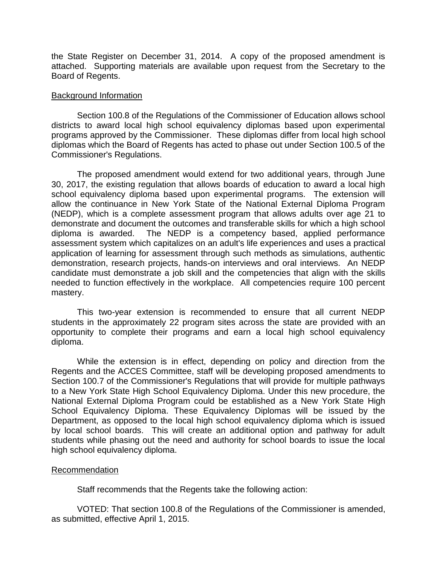the State Register on December 31, 2014. A copy of the proposed amendment is attached. Supporting materials are available upon request from the Secretary to the Board of Regents.

#### Background Information

Section 100.8 of the Regulations of the Commissioner of Education allows school districts to award local high school equivalency diplomas based upon experimental programs approved by the Commissioner. These diplomas differ from local high school diplomas which the Board of Regents has acted to phase out under Section 100.5 of the Commissioner's Regulations.

The proposed amendment would extend for two additional years, through June 30, 2017, the existing regulation that allows boards of education to award a local high school equivalency diploma based upon experimental programs. The extension will allow the continuance in New York State of the National External Diploma Program (NEDP), which is a complete assessment program that allows adults over age 21 to demonstrate and document the outcomes and transferable skills for which a high school diploma is awarded. The NEDP is a competency based, applied performance assessment system which capitalizes on an adult's life experiences and uses a practical application of learning for assessment through such methods as simulations, authentic demonstration, research projects, hands-on interviews and oral interviews. An NEDP candidate must demonstrate a job skill and the competencies that align with the skills needed to function effectively in the workplace. All competencies require 100 percent mastery.

This two-year extension is recommended to ensure that all current NEDP students in the approximately 22 program sites across the state are provided with an opportunity to complete their programs and earn a local high school equivalency diploma.

While the extension is in effect, depending on policy and direction from the Regents and the ACCES Committee, staff will be developing proposed amendments to Section 100.7 of the Commissioner's Regulations that will provide for multiple pathways to a New York State High School Equivalency Diploma. Under this new procedure, the National External Diploma Program could be established as a New York State High School Equivalency Diploma. These Equivalency Diplomas will be issued by the Department, as opposed to the local high school equivalency diploma which is issued by local school boards. This will create an additional option and pathway for adult students while phasing out the need and authority for school boards to issue the local high school equivalency diploma.

#### Recommendation

Staff recommends that the Regents take the following action:

VOTED: That section 100.8 of the Regulations of the Commissioner is amended, as submitted, effective April 1, 2015.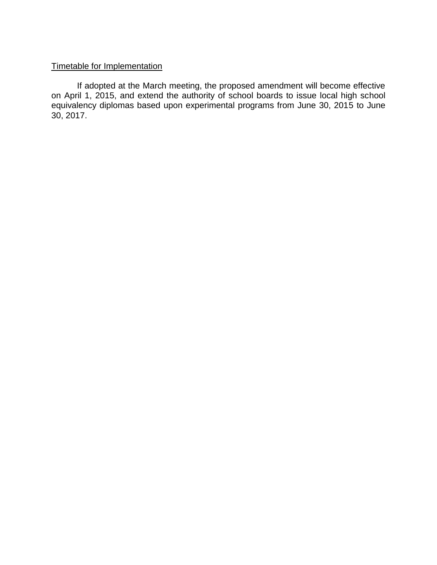## Timetable for Implementation

If adopted at the March meeting, the proposed amendment will become effective on April 1, 2015, and extend the authority of school boards to issue local high school equivalency diplomas based upon experimental programs from June 30, 2015 to June 30, 2017.